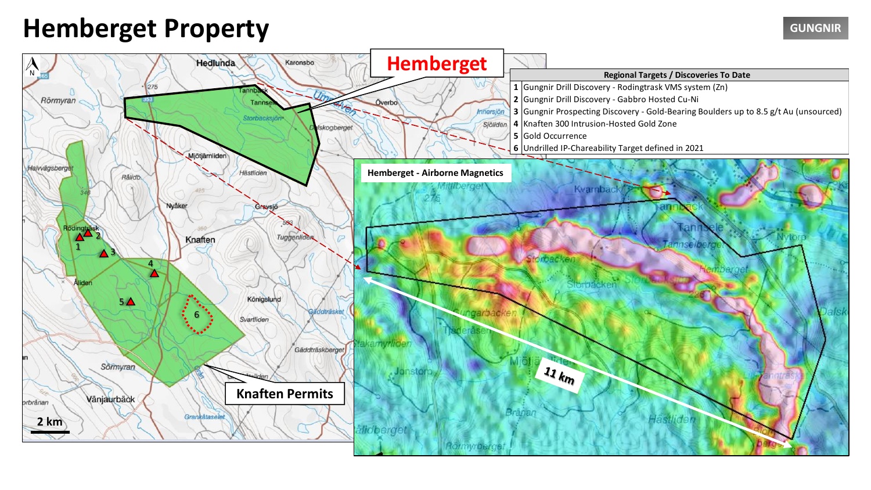## **Hemberget Property GUNGNIR**

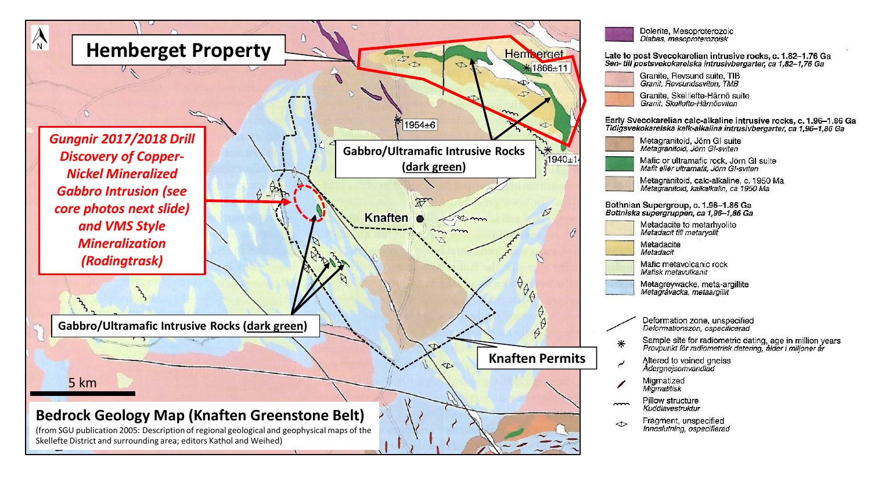

Dolerite. Mesoproterozoic Diabas, mesoproterozoisk

Late to post Svecokarelian intrusive rocks, c. 1.82-1.76 Ga Sen-till postsvekokarelska intrusivbergarter, ca 1.82-1.76 Ga

> Granite, Revsund suite, TIB Granit. Revsundssviten. TMB

Granite, Skelllefte-Härnö suite Granit. Skellefte-Härnösviten

Early Svecokarelian calc-alkaline intrusive rocks, c. 1.96-1.86 Ga<br>Tidigsvekokarelska kalk-alkalina intrusivbergarter, ca 1,96-1,86 Ga

Metagranitoid, Jörn GI suite Metagranitoid, Jörn GI-sviten

Mafic or ultramafic rock, Jörn GI suite Mafit eller ultramafit. Jörn GI-sviten

Metagranitoid, calc-alkaline, c. 1950 Ma Metagranitoid, kalkalkalin, ca 1950 Ma

Bothnian Supergroup, c. 1.96-1.86 Ga Bottniska supergruppen, ca 1,96-1,86 Ga

| Metadacite to metarhyolite<br>Metadacit till metaryolit |  |  |  |  |
|---------------------------------------------------------|--|--|--|--|
| Metadacite                                              |  |  |  |  |

Metadacit

Mafic metavolcanic rock Mafisk metavulkanit

Metagreywacke, meta-argillite Metagrávacka, metaargiliit

Deformation zone, unspecified Deformationszon, ospecificerad

- Sample site for radiometric dating, age in million years<br>Provpunkt för radiometrisk datering, ålder i miljoner år  $\ast$ 
	- Altered to veined gneiss Ådergnejsomvandlad
	- Migmatized Migmatitisk
- Pillow structure  $\sim$ Kuddlavestruktur
- Fragment, unspecified  $\Diamond$ Inneslutning, ospecifierad